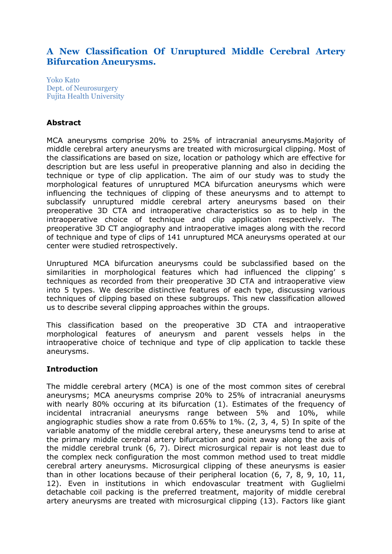# **A New Classification Of Unruptured Middle Cerebral Artery Bifurcation Aneurysms.**

Yoko Kato Dept. of Neurosurgery Fujita Health University

## **Abstract**

MCA aneurysms comprise 20% to 25% of intracranial aneurysms.Majority of middle cerebral artery aneurysms are treated with microsurgical clipping. Most of the classifications are based on size, location or pathology which are effective for description but are less useful in preoperative planning and also in deciding the technique or type of clip application. The aim of our study was to study the morphological features of unruptured MCA bifurcation aneurysms which were influencing the techniques of clipping of these aneurysms and to attempt to subclassify unruptured middle cerebral artery aneurysms based on their preoperative 3D CTA and intraoperative characteristics so as to help in the intraoperative choice of technique and clip application respectively. The preoperative 3D CT angiography and intraoperative images along with the record of technique and type of clips of 141 unruptured MCA aneurysms operated at our center were studied retrospectively.

Unruptured MCA bifurcation aneurysms could be subclassified based on the similarities in morphological features which had influenced the clipping' s techniques as recorded from their preoperative 3D CTA and intraoperative view into 5 types. We describe distinctive features of each type, discussing various techniques of clipping based on these subgroups. This new classification allowed us to describe several clipping approaches within the groups.

This classification based on the preoperative 3D CTA and intraoperative morphological features of aneurysm and parent vessels helps in the intraoperative choice of technique and type of clip application to tackle these aneurysms.

## **Introduction**

The middle cerebral artery (MCA) is one of the most common sites of cerebral aneurysms; MCA aneurysms comprise 20% to 25% of intracranial aneurysms with nearly 80% occuring at its bifurcation (1). Estimates of the frequency of incidental intracranial aneurysms range between 5% and 10%, while angiographic studies show a rate from 0.65% to 1%. (2, 3, 4, 5) In spite of the variable anatomy of the middle cerebral artery, these aneurysms tend to arise at the primary middle cerebral artery bifurcation and point away along the axis of the middle cerebral trunk (6, 7). Direct microsurgical repair is not least due to the complex neck configuration the most common method used to treat middle cerebral artery aneurysms. Microsurgical clipping of these aneurysms is easier than in other locations because of their peripheral location (6, 7, 8, 9, 10, 11, 12). Even in institutions in which endovascular treatment with Guglielmi detachable coil packing is the preferred treatment, majority of middle cerebral artery aneurysms are treated with microsurgical clipping (13). Factors like giant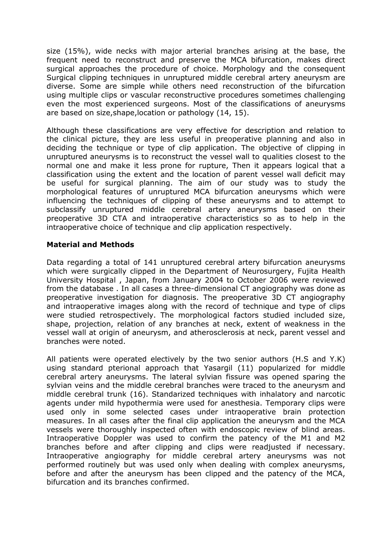size (15%), wide necks with major arterial branches arising at the base, the frequent need to reconstruct and preserve the MCA bifurcation, makes direct surgical approaches the procedure of choice. Morphology and the consequent Surgical clipping techniques in unruptured middle cerebral artery aneurysm are diverse. Some are simple while others need reconstruction of the bifurcation using multiple clips or vascular reconstructive procedures sometimes challenging even the most experienced surgeons. Most of the classifications of aneurysms are based on size,shape,location or pathology (14, 15).

Although these classifications are very effective for description and relation to the clinical picture, they are less useful in preoperative planning and also in deciding the technique or type of clip application. The objective of clipping in unruptured aneurysms is to reconstruct the vessel wall to qualities closest to the normal one and make it less prone for rupture, Then it appears logical that a classification using the extent and the location of parent vessel wall deficit may be useful for surgical planning. The aim of our study was to study the morphological features of unruptured MCA bifurcation aneurysms which were influencing the techniques of clipping of these aneurysms and to attempt to subclassify unruptured middle cerebral artery aneurysms based on their preoperative 3D CTA and intraoperative characteristics so as to help in the intraoperative choice of technique and clip application respectively.

## **Material and Methods**

Data regarding a total of 141 unruptured cerebral artery bifurcation aneurysms which were surgically clipped in the Department of Neurosurgery, Fujita Health University Hospital , Japan, from January 2004 to October 2006 were reviewed from the database . In all cases a three-dimensional CT angiography was done as preoperative investigation for diagnosis. The preoperative 3D CT angiography and intraoperative images along with the record of technique and type of clips were studied retrospectively. The morphological factors studied included size, shape, projection, relation of any branches at neck, extent of weakness in the vessel wall at origin of aneurysm, and atherosclerosis at neck, parent vessel and branches were noted.

All patients were operated electively by the two senior authors (H.S and Y.K) using standard pterional approach that Yasargil (11) popularized for middle cerebral artery aneurysms. The lateral sylvian fissure was opened sparing the sylvian veins and the middle cerebral branches were traced to the aneurysm and middle cerebral trunk (16). Standarized techniques with inhalatory and narcotic agents under mild hypothermia were used for anesthesia. Temporary clips were used only in some selected cases under intraoperative brain protection measures. In all cases after the final clip application the aneurysm and the MCA vessels were thoroughly inspected often with endoscopic review of blind areas. Intraoperative Doppler was used to confirm the patency of the M1 and M2 branches before and after clipping and clips were readjusted if necessary. Intraoperative angiography for middle cerebral artery aneurysms was not performed routinely but was used only when dealing with complex aneurysms, before and after the aneurysm has been clipped and the patency of the MCA, bifurcation and its branches confirmed.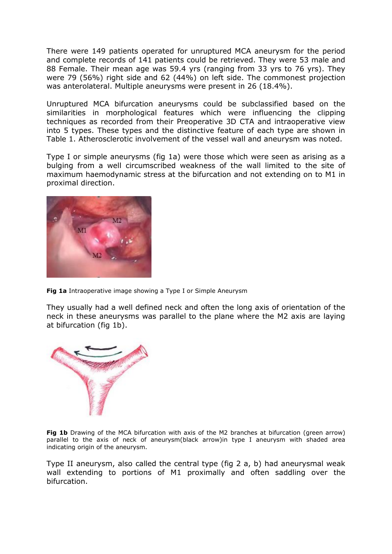There were 149 patients operated for unruptured MCA aneurysm for the period and complete records of 141 patients could be retrieved. They were 53 male and 88 Female. Their mean age was 59.4 yrs (ranging from 33 yrs to 76 yrs). They were 79 (56%) right side and 62 (44%) on left side. The commonest projection was anterolateral. Multiple aneurysms were present in 26 (18.4%).

Unruptured MCA bifurcation aneurysms could be subclassified based on the similarities in morphological features which were influencing the clipping techniques as recorded from their Preoperative 3D CTA and intraoperative view into 5 types. These types and the distinctive feature of each type are shown in Table 1. Atherosclerotic involvement of the vessel wall and aneurysm was noted.

Type I or simple aneurysms (fig 1a) were those which were seen as arising as a bulging from a well circumscribed weakness of the wall limited to the site of maximum haemodynamic stress at the bifurcation and not extending on to M1 in proximal direction.



**Fig 1a** Intraoperative image showing a Type I or Simple Aneurysm

They usually had a well defined neck and often the long axis of orientation of the neck in these aneurysms was parallel to the plane where the M2 axis are laying at bifurcation (fig 1b).



**Fig 1b** Drawing of the MCA bifurcation with axis of the M2 branches at bifurcation (green arrow) parallel to the axis of neck of aneurysm(black arrow)in type I aneurysm with shaded area indicating origin of the aneurysm.

Type II aneurysm, also called the central type (fig 2 a, b) had aneurysmal weak wall extending to portions of M1 proximally and often saddling over the bifurcation.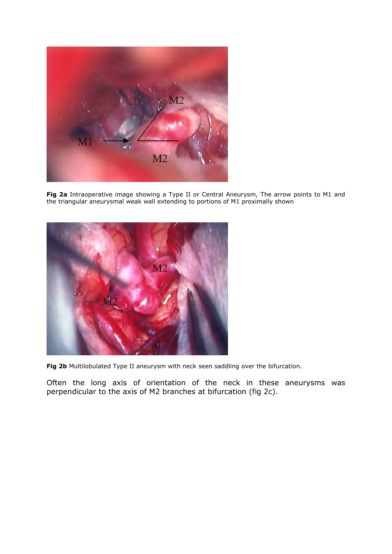

**Fig 2a** Intraoperative image showing a Type II or Central Aneurysm, The arrow points to M1 and the triangular aneurysmal weak wall extending to portions of M1 proximally shown



**Fig 2b** Multilobulated Type II aneurysm with neck seen saddling over the bifurcation.

Often the long axis of orientation of the neck in these aneurysms was perpendicular to the axis of M2 branches at bifurcation (fig 2c).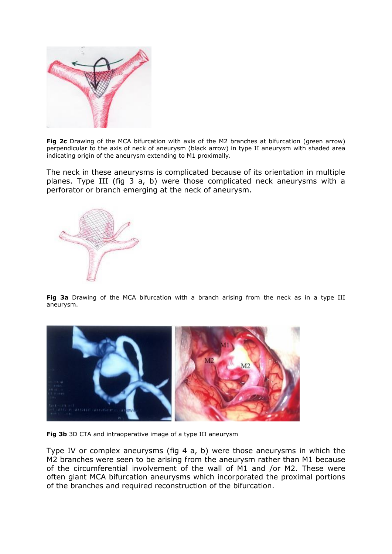

**Fig 2c** Drawing of the MCA bifurcation with axis of the M2 branches at bifurcation (green arrow) perpendicular to the axis of neck of aneurysm (black arrow) in type II aneurysm with shaded area indicating origin of the aneurysm extending to M1 proximally.

The neck in these aneurysms is complicated because of its orientation in multiple planes. Type III (fig 3 a, b) were those complicated neck aneurysms with a perforator or branch emerging at the neck of aneurysm.



**Fig 3a** Drawing of the MCA bifurcation with a branch arising from the neck as in a type III aneurysm.



**Fig 3b** 3D CTA and intraoperative image of a type III aneurysm

Type IV or complex aneurysms (fig 4 a, b) were those aneurysms in which the M2 branches were seen to be arising from the aneurysm rather than M1 because of the circumferential involvement of the wall of M1 and /or M2. These were often giant MCA bifurcation aneurysms which incorporated the proximal portions of the branches and required reconstruction of the bifurcation.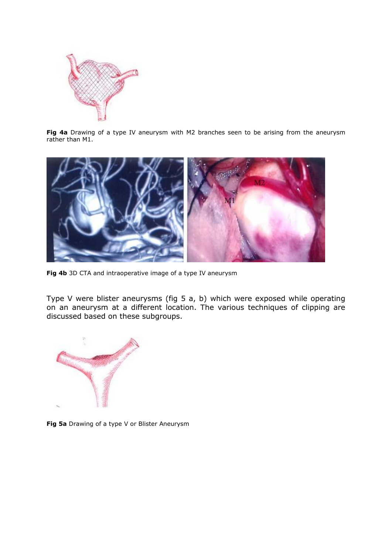

**Fig 4a** Drawing of a type IV aneurysm with M2 branches seen to be arising from the aneurysm rather than M1.



**Fig 4b** 3D CTA and intraoperative image of a type IV aneurysm

Type V were blister aneurysms (fig 5 a, b) which were exposed while operating on an aneurysm at a different location. The various techniques of clipping are discussed based on these subgroups.



**Fig 5a** Drawing of a type V or Blister Aneurysm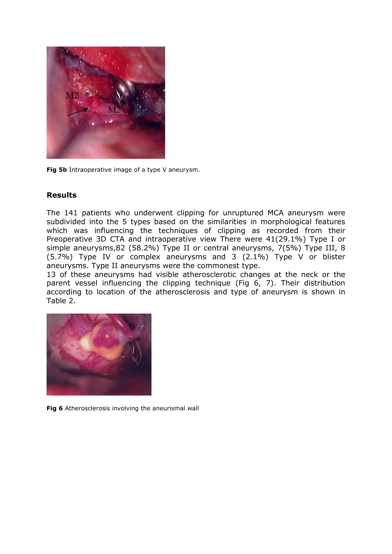

**Fig 5b** Intraoperative image of a type V aneurysm.

#### **Results**

The 141 patients who underwent clipping for unruptured MCA aneurysm were subdivided into the 5 types based on the similarities in morphological features which was influencing the techniques of clipping as recorded from their Preoperative 3D CTA and intraoperative view There were 41(29.1%) Type I or simple aneurysms,82 (58.2%) Type II or central aneurysms, 7(5%) Type III, 8 (5.7%) Type IV or complex aneurysms and 3 (2.1%) Type V or blister aneurysms. Type II aneurysms were the commonest type.

13 of these aneurysms had visible atherosclerotic changes at the neck or the parent vessel influencing the clipping technique (Fig 6, 7). Their distribution according to location of the atherosclerosis and type of aneurysm is shown in Table 2.



**Fig 6** Atherosclerosis involving the aneurismal wall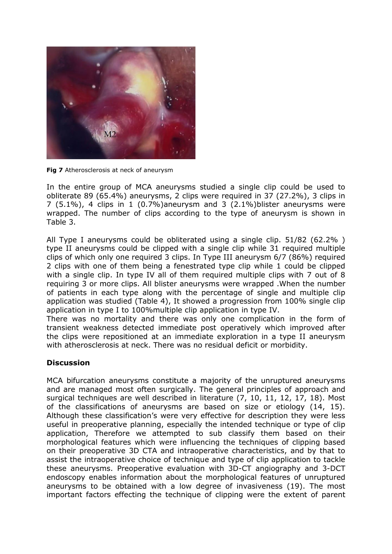

**Fig 7** Atherosclerosis at neck of aneurysm

In the entire group of MCA aneurysms studied a single clip could be used to obliterate 89 (65.4%) aneurysms, 2 clips were required in 37 (27.2%), 3 clips in 7 (5.1%), 4 clips in 1 (0.7%)aneurysm and 3 (2.1%)blister aneurysms were wrapped. The number of clips according to the type of aneurysm is shown in Table 3.

All Type I aneurysms could be obliterated using a single clip. 51/82 (62.2% ) type II aneurysms could be clipped with a single clip while 31 required multiple clips of which only one required 3 clips. In Type III aneurysm 6/7 (86%) required 2 clips with one of them being a fenestrated type clip while 1 could be clipped with a single clip. In type IV all of them required multiple clips with 7 out of 8 requiring 3 or more clips. All blister aneurysms were wrapped .When the number of patients in each type along with the percentage of single and multiple clip application was studied (Table 4), It showed a progression from 100% single clip application in type I to 100%multiple clip application in type IV.

There was no mortality and there was only one complication in the form of transient weakness detected immediate post operatively which improved after the clips were repositioned at an immediate exploration in a type II aneurysm with atherosclerosis at neck. There was no residual deficit or morbidity.

## **Discussion**

MCA bifurcation aneurysms constitute a majority of the unruptured aneurysms and are managed most often surgically. The general principles of approach and surgical techniques are well described in literature (7, 10, 11, 12, 17, 18). Most of the classifications of aneurysms are based on size or etiology (14, 15). Although these classification's were very effective for description they were less useful in preoperative planning, especially the intended technique or type of clip application, Therefore we attempted to sub classify them based on their morphological features which were influencing the techniques of clipping based on their preoperative 3D CTA and intraoperative characteristics, and by that to assist the intraoperative choice of technique and type of clip application to tackle these aneurysms. Preoperative evaluation with 3D-CT angiography and 3-DCT endoscopy enables information about the morphological features of unruptured aneurysms to be obtained with a low degree of invasiveness (19). The most important factors effecting the technique of clipping were the extent of parent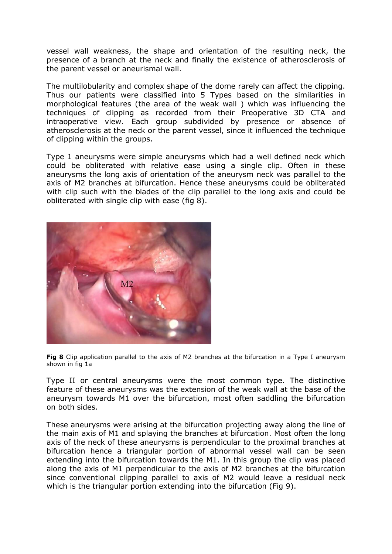vessel wall weakness, the shape and orientation of the resulting neck, the presence of a branch at the neck and finally the existence of atherosclerosis of the parent vessel or aneurismal wall.

The multilobularity and complex shape of the dome rarely can affect the clipping. Thus our patients were classified into 5 Types based on the similarities in morphological features (the area of the weak wall ) which was influencing the techniques of clipping as recorded from their Preoperative 3D CTA and intraoperative view. Each group subdivided by presence or absence of atherosclerosis at the neck or the parent vessel, since it influenced the technique of clipping within the groups.

Type 1 aneurysms were simple aneurysms which had a well defined neck which could be obliterated with relative ease using a single clip. Often in these aneurysms the long axis of orientation of the aneurysm neck was parallel to the axis of M2 branches at bifurcation. Hence these aneurysms could be obliterated with clip such with the blades of the clip parallel to the long axis and could be obliterated with single clip with ease (fig 8).



**Fig 8** Clip application parallel to the axis of M2 branches at the bifurcation in a Type I aneurysm shown in fig 1a

Type II or central aneurysms were the most common type. The distinctive feature of these aneurysms was the extension of the weak wall at the base of the aneurysm towards M1 over the bifurcation, most often saddling the bifurcation on both sides.

These aneurysms were arising at the bifurcation projecting away along the line of the main axis of M1 and splaying the branches at bifurcation. Most often the long axis of the neck of these aneurysms is perpendicular to the proximal branches at bifurcation hence a triangular portion of abnormal vessel wall can be seen extending into the bifurcation towards the M1. In this group the clip was placed along the axis of M1 perpendicular to the axis of M2 branches at the bifurcation since conventional clipping parallel to axis of M2 would leave a residual neck which is the triangular portion extending into the bifurcation (Fig 9).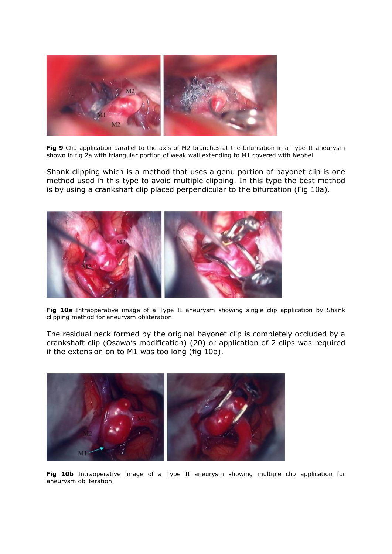

**Fig 9** Clip application parallel to the axis of M2 branches at the bifurcation in a Type II aneurysm shown in fig 2a with triangular portion of weak wall extending to M1 covered with Neobel

Shank clipping which is a method that uses a genu portion of bayonet clip is one method used in this type to avoid multiple clipping. In this type the best method is by using a crankshaft clip placed perpendicular to the bifurcation (Fig 10a).



**Fig 10a** Intraoperative image of a Type II aneurysm showing single clip application by Shank clipping method for aneurysm obliteration.

The residual neck formed by the original bayonet clip is completely occluded by a crankshaft clip (Osawa's modification) (20) or application of 2 clips was required if the extension on to M1 was too long (fig 10b).



**Fig 10b** Intraoperative image of a Type II aneurysm showing multiple clip application for aneurysm obliteration.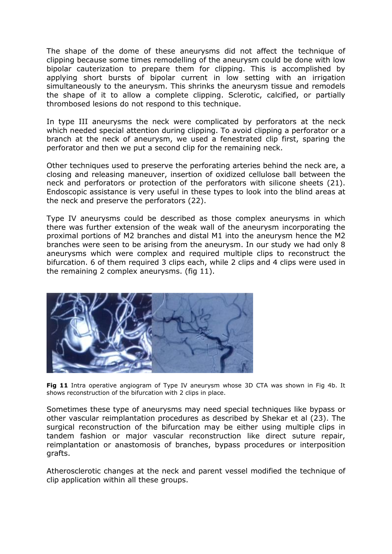The shape of the dome of these aneurysms did not affect the technique of clipping because some times remodelling of the aneurysm could be done with low bipolar cauterization to prepare them for clipping. This is accomplished by applying short bursts of bipolar current in low setting with an irrigation simultaneously to the aneurysm. This shrinks the aneurysm tissue and remodels the shape of it to allow a complete clipping. Sclerotic, calcified, or partially thrombosed lesions do not respond to this technique.

In type III aneurysms the neck were complicated by perforators at the neck which needed special attention during clipping. To avoid clipping a perforator or a branch at the neck of aneurysm, we used a fenestrated clip first, sparing the perforator and then we put a second clip for the remaining neck.

Other techniques used to preserve the perforating arteries behind the neck are, a closing and releasing maneuver, insertion of oxidized cellulose ball between the neck and perforators or protection of the perforators with silicone sheets (21). Endoscopic assistance is very useful in these types to look into the blind areas at the neck and preserve the perforators (22).

Type IV aneurysms could be described as those complex aneurysms in which there was further extension of the weak wall of the aneurysm incorporating the proximal portions of M2 branches and distal M1 into the aneurysm hence the M2 branches were seen to be arising from the aneurysm. In our study we had only 8 aneurysms which were complex and required multiple clips to reconstruct the bifurcation. 6 of them required 3 clips each, while 2 clips and 4 clips were used in the remaining 2 complex aneurysms. (fig 11).



**Fig 11** Intra operative angiogram of Type IV aneurysm whose 3D CTA was shown in Fig 4b. It shows reconstruction of the bifurcation with 2 clips in place.

Sometimes these type of aneurysms may need special techniques like bypass or other vascular reimplantation procedures as described by Shekar et al (23). The surgical reconstruction of the bifurcation may be either using multiple clips in tandem fashion or major vascular reconstruction like direct suture repair, reimplantation or anastomosis of branches, bypass procedures or interposition grafts.

Atherosclerotic changes at the neck and parent vessel modified the technique of clip application within all these groups.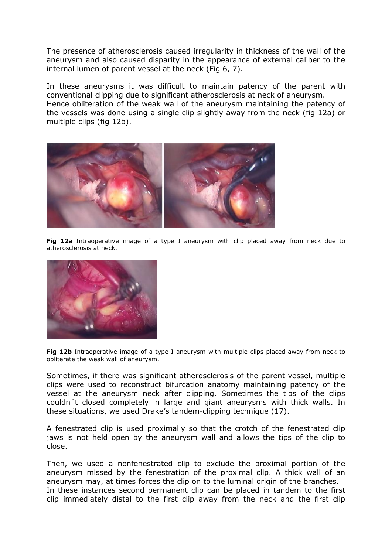The presence of atherosclerosis caused irregularity in thickness of the wall of the aneurysm and also caused disparity in the appearance of external caliber to the internal lumen of parent vessel at the neck (Fig 6, 7).

In these aneurysms it was difficult to maintain patency of the parent with conventional clipping due to significant atherosclerosis at neck of aneurysm. Hence obliteration of the weak wall of the aneurysm maintaining the patency of the vessels was done using a single clip slightly away from the neck (fig 12a) or multiple clips (fig 12b).



**Fig 12a** Intraoperative image of a type I aneurysm with clip placed away from neck due to atherosclerosis at neck.



**Fig 12b** Intraoperative image of a type I aneurysm with multiple clips placed away from neck to obliterate the weak wall of aneurysm.

Sometimes, if there was significant atherosclerosis of the parent vessel, multiple clips were used to reconstruct bifurcation anatomy maintaining patency of the vessel at the aneurysm neck after clipping. Sometimes the tips of the clips couldn´t closed completely in large and giant aneurysms with thick walls. In these situations, we used Drake's tandem-clipping technique (17).

A fenestrated clip is used proximally so that the crotch of the fenestrated clip jaws is not held open by the aneurysm wall and allows the tips of the clip to close.

Then, we used a nonfenestrated clip to exclude the proximal portion of the aneurysm missed by the fenestration of the proximal clip. A thick wall of an aneurysm may, at times forces the clip on to the luminal origin of the branches. In these instances second permanent clip can be placed in tandem to the first clip immediately distal to the first clip away from the neck and the first clip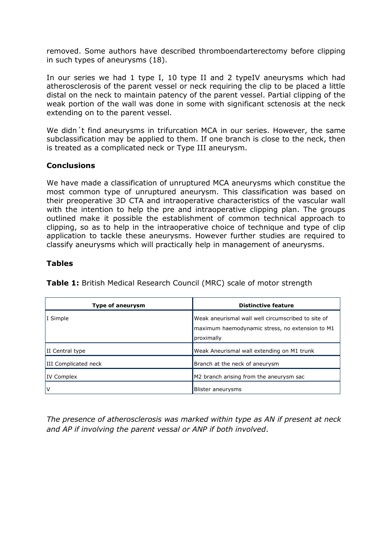removed. Some authors have described thromboendarterectomy before clipping in such types of aneurysms (18).

In our series we had 1 type I, 10 type II and 2 typeIV aneurysms which had atherosclerosis of the parent vessel or neck requiring the clip to be placed a little distal on the neck to maintain patency of the parent vessel. Partial clipping of the weak portion of the wall was done in some with significant sctenosis at the neck extending on to the parent vessel.

We didn´t find aneurysms in trifurcation MCA in our series. However, the same subclassification may be applied to them. If one branch is close to the neck, then is treated as a complicated neck or Type III aneurysm.

## **Conclusions**

We have made a classification of unruptured MCA aneurysms which constitue the most common type of unruptured aneurysm. This classification was based on their preoperative 3D CTA and intraoperative characteristics of the vascular wall with the intention to help the pre and intraoperative clipping plan. The groups outlined make it possible the establishment of common technical approach to clipping, so as to help in the intraoperative choice of technique and type of clip application to tackle these aneurysms. However further studies are required to classify aneurysms which will practically help in management of aneurysms.

#### **Tables**

| <b>Type of aneurysm</b> | <b>Distinctive feature</b>                                                                                          |
|-------------------------|---------------------------------------------------------------------------------------------------------------------|
| I Simple                | Weak aneurismal wall well circumscribed to site of<br>maximum haemodynamic stress, no extension to M1<br>proximally |
| II Central type         | Weak Aneurismal wall extending on M1 trunk                                                                          |
| III Complicated neck    | Branch at the neck of aneurysm                                                                                      |
| IV Complex              | M2 branch arising from the aneurysm sac                                                                             |
| I٧                      | Blister aneurysms                                                                                                   |

**Table 1:** British Medical Research Council (MRC) scale of motor strength

*The presence of atherosclerosis was marked within type as AN if present at neck and AP if involving the parent vessal or ANP if both involved*.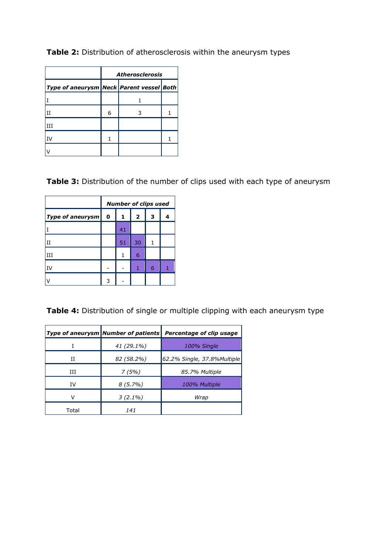**Table 2:** Distribution of atherosclerosis within the aneurysm types

|                                                                                  | <b>Atherosclerosis</b> |  |  |
|----------------------------------------------------------------------------------|------------------------|--|--|
| $\vert$ Type of aneurysm $\vert$ Neck $\vert$ Parent vessel $\vert$ Both $\vert$ |                        |  |  |
|                                                                                  |                        |  |  |
| н                                                                                | 6                      |  |  |
| ш                                                                                |                        |  |  |
| I٧                                                                               |                        |  |  |
|                                                                                  |                        |  |  |

**Table 3:** Distribution of the number of clips used with each type of aneurysm

|                         | <b>Number of clips used</b> |    |                         |   |   |
|-------------------------|-----------------------------|----|-------------------------|---|---|
| <b>Type of aneurysm</b> | 0                           | 1  | $\overline{\mathbf{2}}$ | з | 4 |
|                         |                             | 41 |                         |   |   |
| П                       |                             | 51 | 30                      | 1 |   |
| Ш                       |                             | 1  | 6                       |   |   |
| IV                      |                             |    | 1                       | 6 |   |
|                         | 3                           |    |                         |   |   |

**Table 4:** Distribution of single or multiple clipping with each aneurysm type

|       | <b>Type of aneurysm Number of patients</b> | Percentage of clip usage    |  |
|-------|--------------------------------------------|-----------------------------|--|
|       | 41 (29.1%)                                 | 100% Single                 |  |
| TΤ    | 82 (58.2%)                                 | 62.2% Single, 37.8%Multiple |  |
| ш     | 7(5%)                                      | 85.7% Multiple              |  |
| IV    | $8(5,7\%)$                                 | 100% Multiple               |  |
|       | $3(2.1\%)$                                 | Wrap                        |  |
| Total | 141                                        |                             |  |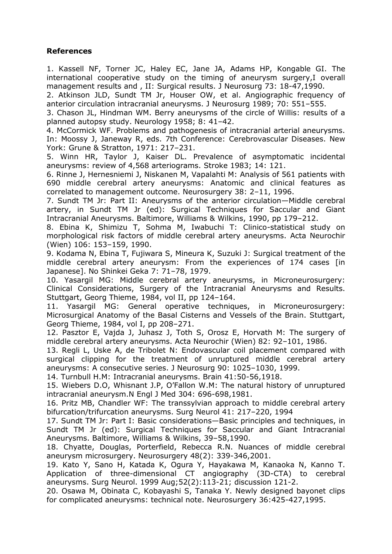## **References**

1. Kassell NF, Torner JC, Haley EC, Jane JA, Adams HP, Kongable GI. The international cooperative study on the timing of aneurysm surgery,I overall management results and , II: Surgical results. J Neurosurg 73: 18-47,1990.

2. Atkinson JLD, Sundt TM Jr, Houser OW, et al. Angiographic frequency of anterior circulation intracranial aneurysms. J Neurosurg 1989; 70: 551–555.

3. Chason JL, Hindman WM. Berry aneurysms of the circle of Willis: results of a planned autopsy study. Neurology 1958; 8: 41–42.

4. McCormick WF. Problems and pathogenesis of intracranial arterial aneurysms. In: Moossy J, Janeway R, eds. 7th Conference: Cerebrovascular Diseases. New York: Grune & Stratton, 1971: 217–231.

5. Winn HR, Taylor J, Kaiser DL. Prevalence of asymptomatic incidental aneurysms: review of 4,568 arteriograms. Stroke 1983; 14: 121.

6. Rinne J, Hernesniemi J, Niskanen M, Vapalahti M: Analysis of 561 patients with 690 middle cerebral artery aneurysms: Anatomic and clinical features as correlated to management outcome. Neurosurgery 38: 2–11, 1996.

7. Sundt TM Jr: Part II: Aneurysms of the anterior circulation—Middle cerebral artery, in Sundt TM Jr (ed): Surgical Techniques for Saccular and Giant Intracranial Aneurysms. Baltimore, Williams & Wilkins, 1990, pp 179–212.

8. Ebina K, Shimizu T, Sohma M, Iwabuchi T: Clinico-statistical study on morphological risk factors of middle cerebral artery aneurysms. Acta Neurochir (Wien) 106: 153–159, 1990.

9. Kodama N, Ebina T, Fujiwara S, Mineura K, Suzuki J: Surgical treatment of the middle cerebral artery aneurysm: From the experiences of 174 cases [in Japanese]. No Shinkei Geka 7: 71–78, 1979.

10. Yasargil MG: Middle cerebral artery aneurysms, in Microneurosurgery: Clinical Considerations, Surgery of the Intracranial Aneurysms and Results. Stuttgart, Georg Thieme, 1984, vol II, pp 124–164.

11. Yasargil MG: General operative techniques, in Microneurosurgery: Microsurgical Anatomy of the Basal Cisterns and Vessels of the Brain. Stuttgart, Georg Thieme, 1984, vol I, pp 208–271.

12. Pasztor E, Vajda J, Juhasz J, Toth S, Orosz E, Horvath M: The surgery of middle cerebral artery aneurysms. Acta Neurochir (Wien) 82: 92–101, 1986.

13. Regli L, Uske A, de Tribolet N: Endovascular coil placement compared with surgical clipping for the treatment of unruptured middle cerebral artery aneurysms: A consecutive series. J Neurosurg 90: 1025–1030, 1999.

14. Turnbull H.M: Intracranial aneurysms. Brain 41:50-56,1918.

15. Wiebers D.O, Whisnant J.P, O'Fallon W.M: The natural history of unruptured intracranial aneurysm.N Engl J Med 304: 696-698,1981.

16. Pritz MB, Chandler WF: The transsylvian approach to middle cerebral artery bifurcation/trifurcation aneurysms. Surg Neurol 41: 217–220, 1994

17. Sundt TM Jr: Part I: Basic considerations—Basic principles and techniques, in Sundt TM Jr (ed): Surgical Techniques for Saccular and Giant Intracranial Aneurysms. Baltimore, Williams & Wilkins, 39–58,1990.

18. Chyatte, Douglas, Porterfield, Rebecca R.N. Nuances of middle cerebral aneurysm microsurgery. Neurosurgery 48(2): 339-346,2001.

19. Kato Y, Sano H, Katada K, Ogura Y, Hayakawa M, Kanaoka N, Kanno T. Application of three-dimensional CT angiography (3D-CTA) to cerebral aneurysms. Surg Neurol. 1999 Aug;52(2):113-21; discussion 121-2.

20. Osawa M, Obinata C, Kobayashi S, Tanaka Y. Newly designed bayonet clips for complicated aneurysms: technical note. Neurosurgery 36:425-427,1995.